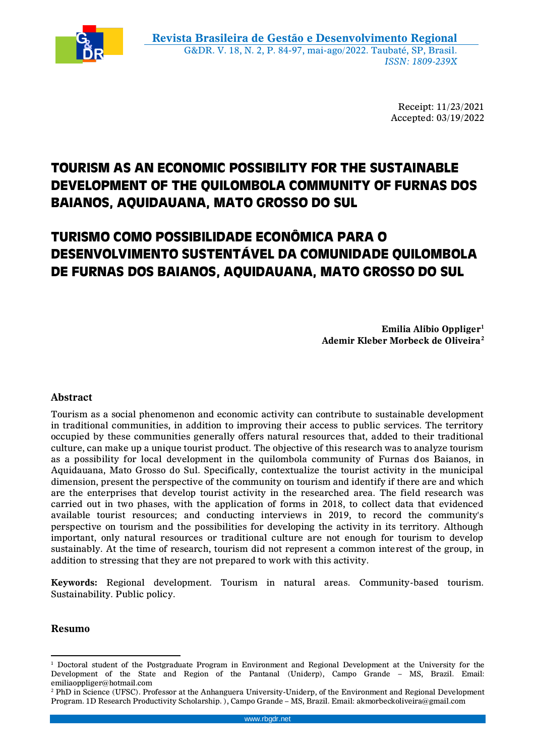

Receipt: 11/23/2021 Accepted: 03/19/2022

# **TOURISM AS AN ECONOMIC POSSIBILITY FOR THE SUSTAINABLE DEVELOPMENT OF THE QUILOMBOLA COMMUNITY OF FURNAS DOS BAIANOS, AQUIDAUANA, MATO GROSSO DO SUL**

# **TURISMO COMO POSSIBILIDADE ECONÔMICA PARA O DESENVOLVIMENTO SUSTENTÁVEL DA COMUNIDADE QUILOMBOLA DE FURNAS DOS BAIANOS, AQUIDAUANA, MATO GROSSO DO SUL**

**Emilia Alibio Oppliger<sup>1</sup> Ademir Kleber Morbeck de Oliveira<sup>2</sup>**

## **Abstract**

Tourism as a social phenomenon and economic activity can contribute to sustainable development in traditional communities, in addition to improving their access to public services. The territory occupied by these communities generally offers natural resources that, added to their traditional culture, can make up a unique tourist product. The objective of this research was to analyze tourism as a possibility for local development in the quilombola community of Furnas dos Baianos, in Aquidauana, Mato Grosso do Sul. Specifically, contextualize the tourist activity in the municipal dimension, present the perspective of the community on tourism and identify if there are and which are the enterprises that develop tourist activity in the researched area. The field research was carried out in two phases, with the application of forms in 2018, to collect data that evidenced available tourist resources; and conducting interviews in 2019, to record the community's perspective on tourism and the possibilities for developing the activity in its territory. Although important, only natural resources or traditional culture are not enough for tourism to develop sustainably. At the time of research, tourism did not represent a common interest of the group, in addition to stressing that they are not prepared to work with this activity.

**Keywords:** Regional development. Tourism in natural areas. Community-based tourism. Sustainability. Public policy.

#### **Resumo**

 <sup>1</sup> Doctoral student of the Postgraduate Program in Environment and Regional Development at the University for the Development of the State and Region of the Pantanal (Uniderp), Campo Grande – MS, Brazil. Email: emiliaoppliger@hotmail.com

<sup>2</sup> PhD in Science (UFSC). Professor at the Anhanguera University-Uniderp, of the Environment and Regional Development Program. 1D Research Productivity Scholarship. ), Campo Grande – MS, Brazil. Email: akmorbeckoliveira@gmail.com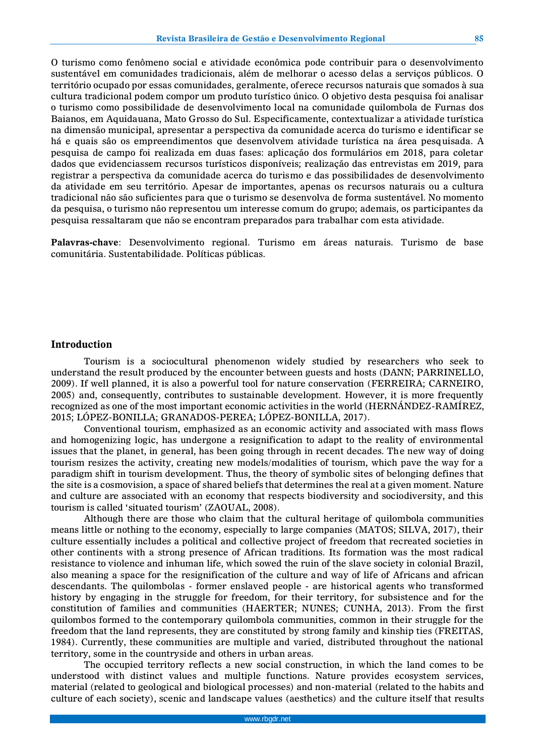O turismo como fenômeno social e atividade econômica pode contribuir para o desenvolvimento sustentável em comunidades tradicionais, além de melhorar o acesso delas a serviços públicos. O território ocupado por essas comunidades, geralmente, oferece recursos naturais que somados à sua cultura tradicional podem compor um produto turístico único. O objetivo desta pesquisa foi analisar o turismo como possibilidade de desenvolvimento local na comunidade quilombola de Furnas dos Baianos, em Aquidauana, Mato Grosso do Sul. Especificamente, contextualizar a atividade turística na dimensão municipal, apresentar a perspectiva da comunidade acerca do turismo e identificar se há e quais são os empreendimentos que desenvolvem atividade turística na área pesquisada. A pesquisa de campo foi realizada em duas fases: aplicação dos formulários em 2018, para coletar dados que evidenciassem recursos turísticos disponíveis; realização das entrevistas em 2019, para registrar a perspectiva da comunidade acerca do turismo e das possibilidades de desenvolvimento da atividade em seu território. Apesar de importantes, apenas os recursos naturais ou a cultura tradicional não são suficientes para que o turismo se desenvolva de forma sustentável. No momento da pesquisa, o turismo não representou um interesse comum do grupo; ademais, os participantes da pesquisa ressaltaram que não se encontram preparados para trabalhar com esta atividade.

**Palavras-chave**: Desenvolvimento regional. Turismo em áreas naturais. Turismo de base comunitária. Sustentabilidade. Políticas públicas.

#### **Introduction**

Tourism is a sociocultural phenomenon widely studied by researchers who seek to understand the result produced by the encounter between guests and hosts (DANN; PARRINELLO, 2009). If well planned, it is also a powerful tool for nature conservation (FERREIRA; CARNEIRO, 2005) and, consequently, contributes to sustainable development. However, it is more frequently recognized as one of the most important economic activities in the world (HERNÁNDEZ-RAMÍREZ, 2015; LÓPEZ-BONILLA; GRANADOS-PEREA; LÓPEZ-BONILLA, 2017).

Conventional tourism, emphasized as an economic activity and associated with mass flows and homogenizing logic, has undergone a resignification to adapt to the reality of environmental issues that the planet, in general, has been going through in recent decades. The new way of doing tourism resizes the activity, creating new models/modalities of tourism, which pave the way for a paradigm shift in tourism development. Thus, the theory of symbolic sites of belonging defines that the site is a cosmovision, a space of shared beliefs that determines the real at a given moment. Nature and culture are associated with an economy that respects biodiversity and sociodiversity, and this tourism is called 'situated tourism' (ZAOUAL, 2008).

Although there are those who claim that the cultural heritage of quilombola communities means little or nothing to the economy, especially to large companies (MATOS; SILVA, 2017), their culture essentially includes a political and collective project of freedom that recreated societies in other continents with a strong presence of African traditions. Its formation was the most radical resistance to violence and inhuman life, which sowed the ruin of the slave society in colonial Brazil, also meaning a space for the resignification of the culture and way of life of Africans and african descendants. The quilombolas - former enslaved people - are historical agents who transformed history by engaging in the struggle for freedom, for their territory, for subsistence and for the constitution of families and communities (HAERTER; NUNES; CUNHA, 2013). From the first quilombos formed to the contemporary quilombola communities, common in their struggle for the freedom that the land represents, they are constituted by strong family and kinship ties (FREITAS, 1984). Currently, these communities are multiple and varied, distributed throughout the national territory, some in the countryside and others in urban areas.

The occupied territory reflects a new social construction, in which the land comes to be understood with distinct values and multiple functions. Nature provides ecosystem services, material (related to geological and biological processes) and non-material (related to the habits and culture of each society), scenic and landscape values (aesthetics) and the culture itself that results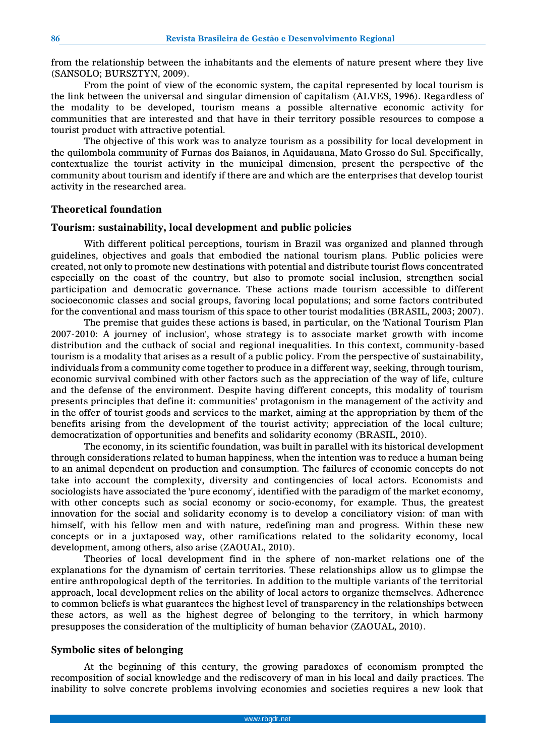from the relationship between the inhabitants and the elements of nature present where they live (SANSOLO; BURSZTYN, 2009).

From the point of view of the economic system, the capital represented by local tourism is the link between the universal and singular dimension of capitalism (ALVES, 1996). Regardless of the modality to be developed, tourism means a possible alternative economic activity for communities that are interested and that have in their territory possible resources to compose a tourist product with attractive potential.

The objective of this work was to analyze tourism as a possibility for local development in the quilombola community of Furnas dos Baianos, in Aquidauana, Mato Grosso do Sul. Specifically, contextualize the tourist activity in the municipal dimension, present the perspective of the community about tourism and identify if there are and which are the enterprises that develop tourist activity in the researched area.

#### **Theoretical foundation**

#### **Tourism: sustainability, local development and public policies**

With different political perceptions, tourism in Brazil was organized and planned through guidelines, objectives and goals that embodied the national tourism plans. Public policies were created, not only to promote new destinations with potential and distribute tourist flows concentrated especially on the coast of the country, but also to promote social inclusion, strengthen social participation and democratic governance. These actions made tourism accessible to different socioeconomic classes and social groups, favoring local populations; and some factors contributed for the conventional and mass tourism of this space to other tourist modalities (BRASIL, 2003; 2007).

The premise that guides these actions is based, in particular, on the 'National Tourism Plan 2007-2010: A journey of inclusion', whose strategy is to associate market growth with income distribution and the cutback of social and regional inequalities. In this context, community-based tourism is a modality that arises as a result of a public policy. From the perspective of sustainability, individuals from a community come together to produce in a different way, seeking, through tourism, economic survival combined with other factors such as the appreciation of the way of life, culture and the defense of the environment. Despite having different concepts, this modality of tourism presents principles that define it: communities' protagonism in the management of the activity and in the offer of tourist goods and services to the market, aiming at the appropriation by them of the benefits arising from the development of the tourist activity; appreciation of the local culture; democratization of opportunities and benefits and solidarity economy (BRASIL, 2010).

The economy, in its scientific foundation, was built in parallel with its historical development through considerations related to human happiness, when the intention was to reduce a human being to an animal dependent on production and consumption. The failures of economic concepts do not take into account the complexity, diversity and contingencies of local actors. Economists and sociologists have associated the 'pure economy', identified with the paradigm of the market economy, with other concepts such as social economy or socio-economy, for example. Thus, the greatest innovation for the social and solidarity economy is to develop a conciliatory vision: of man with himself, with his fellow men and with nature, redefining man and progress. Within these new concepts or in a juxtaposed way, other ramifications related to the solidarity economy, local development, among others, also arise (ZAOUAL, 2010).

Theories of local development find in the sphere of non-market relations one of the explanations for the dynamism of certain territories. These relationships allow us to glimpse the entire anthropological depth of the territories. In addition to the multiple variants of the territorial approach, local development relies on the ability of local actors to organize themselves. Adherence to common beliefs is what guarantees the highest level of transparency in the relationships between these actors, as well as the highest degree of belonging to the territory, in which harmony presupposes the consideration of the multiplicity of human behavior (ZAOUAL, 2010).

#### **Symbolic sites of belonging**

At the beginning of this century, the growing paradoxes of economism prompted the recomposition of social knowledge and the rediscovery of man in his local and daily practices. The inability to solve concrete problems involving economies and societies requires a new look that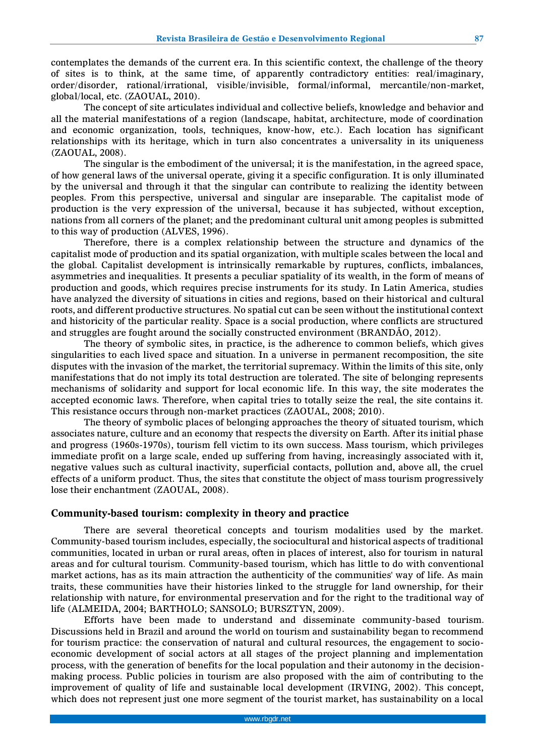contemplates the demands of the current era. In this scientific context, the challenge of the theory of sites is to think, at the same time, of apparently contradictory entities: real/imaginary, order/disorder, rational/irrational, visible/invisible, formal/informal, mercantile/non-market, global/local, etc. (ZAOUAL, 2010).

The concept of site articulates individual and collective beliefs, knowledge and behavior and all the material manifestations of a region (landscape, habitat, architecture, mode of coordination and economic organization, tools, techniques, know-how, etc.). Each location has significant relationships with its heritage, which in turn also concentrates a universality in its uniqueness (ZAOUAL, 2008).

The singular is the embodiment of the universal; it is the manifestation, in the agreed space, of how general laws of the universal operate, giving it a specific configuration. It is only illuminated by the universal and through it that the singular can contribute to realizing the identity between peoples. From this perspective, universal and singular are inseparable. The capitalist mode of production is the very expression of the universal, because it has subjected, without exception, nations from all corners of the planet; and the predominant cultural unit among peoples is submitted to this way of production (ALVES, 1996).

Therefore, there is a complex relationship between the structure and dynamics of the capitalist mode of production and its spatial organization, with multiple scales between the local and the global. Capitalist development is intrinsically remarkable by ruptures, conflicts, imbalances, asymmetries and inequalities. It presents a peculiar spatiality of its wealth, in the form of means of production and goods, which requires precise instruments for its study. In Latin America, studies have analyzed the diversity of situations in cities and regions, based on their historical and cultural roots, and different productive structures. No spatial cut can be seen without the institutional context and historicity of the particular reality. Space is a social production, where conflicts are structured and struggles are fought around the socially constructed environment (BRANDÃO, 2012).

The theory of symbolic sites, in practice, is the adherence to common beliefs, which gives singularities to each lived space and situation. In a universe in permanent recomposition, the site disputes with the invasion of the market, the territorial supremacy. Within the limits of this site, only manifestations that do not imply its total destruction are tolerated. The site of belonging represents mechanisms of solidarity and support for local economic life. In this way, the site moderates the accepted economic laws. Therefore, when capital tries to totally seize the real, the site contains it. This resistance occurs through non-market practices (ZAOUAL, 2008; 2010).

The theory of symbolic places of belonging approaches the theory of situated tourism, which associates nature, culture and an economy that respects the diversity on Earth. After its initial phase and progress (1960s-1970s), tourism fell victim to its own success. Mass tourism, which privileges immediate profit on a large scale, ended up suffering from having, increasingly associated with it, negative values such as cultural inactivity, superficial contacts, pollution and, above all, the cruel effects of a uniform product. Thus, the sites that constitute the object of mass tourism progressively lose their enchantment (ZAOUAL, 2008).

#### **Community-based tourism: complexity in theory and practice**

There are several theoretical concepts and tourism modalities used by the market. Community-based tourism includes, especially, the sociocultural and historical aspects of traditional communities, located in urban or rural areas, often in places of interest, also for tourism in natural areas and for cultural tourism. Community-based tourism, which has little to do with conventional market actions, has as its main attraction the authenticity of the communities' way of life. As main traits, these communities have their histories linked to the struggle for land ownership, for their relationship with nature, for environmental preservation and for the right to the traditional way of life (ALMEIDA, 2004; BARTHOLO; SANSOLO; BURSZTYN, 2009).

Efforts have been made to understand and disseminate community-based tourism. Discussions held in Brazil and around the world on tourism and sustainability began to recommend for tourism practice: the conservation of natural and cultural resources, the engagement to socioeconomic development of social actors at all stages of the project planning and implementation process, with the generation of benefits for the local population and their autonomy in the decisionmaking process. Public policies in tourism are also proposed with the aim of contributing to the improvement of quality of life and sustainable local development (IRVING, 2002). This concept, which does not represent just one more segment of the tourist market, has sustainability on a local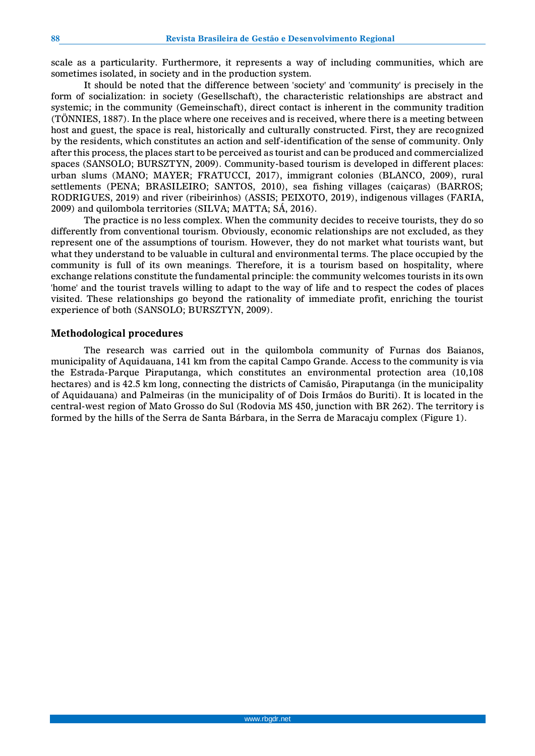scale as a particularity. Furthermore, it represents a way of including communities, which are sometimes isolated, in society and in the production system.

It should be noted that the difference between 'society' and 'community' is precisely in the form of socialization: in society (Gesellschaft), the characteristic relationships are abstract and systemic; in the community (Gemeinschaft), direct contact is inherent in the community tradition (TÖNNIES, 1887). In the place where one receives and is received, where there is a meeting between host and guest, the space is real, historically and culturally constructed. First, they are recognized by the residents, which constitutes an action and self-identification of the sense of community. Only after this process, the places start to be perceived as tourist and can be produced and commercialized spaces (SANSOLO; BURSZTYN, 2009). Community-based tourism is developed in different places: urban slums (MANO; MAYER; FRATUCCI, 2017), immigrant colonies (BLANCO, 2009), rural settlements (PENA; BRASILEIRO; SANTOS, 2010), sea fishing villages (caiçaras) (BARROS; RODRIGUES, 2019) and river (ribeirinhos) (ASSIS; PEIXOTO, 2019), indigenous villages (FARIA, 2009) and quilombola territories (SILVA; MATTA; SÁ, 2016).

The practice is no less complex. When the community decides to receive tourists, they do so differently from conventional tourism. Obviously, economic relationships are not excluded, as they represent one of the assumptions of tourism. However, they do not market what tourists want, but what they understand to be valuable in cultural and environmental terms. The place occupied by the community is full of its own meanings. Therefore, it is a tourism based on hospitality, where exchange relations constitute the fundamental principle: the community welcomes tourists in its own 'home' and the tourist travels willing to adapt to the way of life and to respect the codes of places visited. These relationships go beyond the rationality of immediate profit, enriching the tourist experience of both (SANSOLO; BURSZTYN, 2009).

#### **Methodological procedures**

The research was carried out in the quilombola community of Furnas dos Baianos, municipality of Aquidauana, 141 km from the capital Campo Grande. Access to the community is via the Estrada-Parque Piraputanga, which constitutes an environmental protection area (10,108 hectares) and is 42.5 km long, connecting the districts of Camisão, Piraputanga (in the municipality of Aquidauana) and Palmeiras (in the municipality of of Dois Irmãos do Buriti). It is located in the central-west region of Mato Grosso do Sul (Rodovia MS 450, junction with BR 262). The territory is formed by the hills of the Serra de Santa Bárbara, in the Serra de Maracaju complex (Figure 1).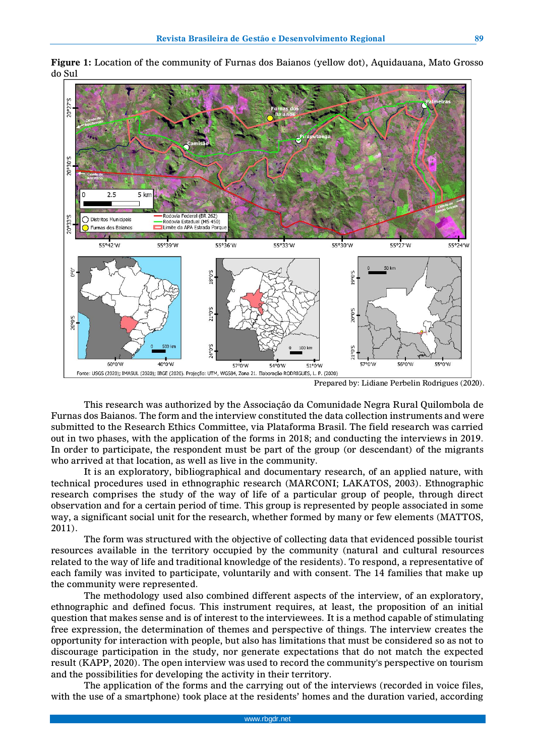

**Figure 1:** Location of the community of Furnas dos Baianos (yellow dot), Aquidauana, Mato Grosso do Sul

Prepared by: Lidiane Perbelin Rodrigues (2020).

This research was authorized by the Associação da Comunidade Negra Rural Quilombola de Furnas dos Baianos. The form and the interview constituted the data collection instruments and were submitted to the Research Ethics Committee, via Plataforma Brasil. The field research was carried out in two phases, with the application of the forms in 2018; and conducting the interviews in 2019. In order to participate, the respondent must be part of the group (or descendant) of the migrants who arrived at that location, as well as live in the community.

It is an exploratory, bibliographical and documentary research, of an applied nature, with technical procedures used in ethnographic research (MARCONI; LAKATOS, 2003). Ethnographic research comprises the study of the way of life of a particular group of people, through direct observation and for a certain period of time. This group is represented by people associated in some way, a significant social unit for the research, whether formed by many or few elements (MATTOS, 2011).

The form was structured with the objective of collecting data that evidenced possible tourist resources available in the territory occupied by the community (natural and cultural resources related to the way of life and traditional knowledge of the residents). To respond, a representative of each family was invited to participate, voluntarily and with consent. The 14 families that make up the community were represented.

The methodology used also combined different aspects of the interview, of an exploratory, ethnographic and defined focus. This instrument requires, at least, the proposition of an initial question that makes sense and is of interest to the interviewees. It is a method capable of stimulating free expression, the determination of themes and perspective of things. The interview creates the opportunity for interaction with people, but also has limitations that must be considered so as not to discourage participation in the study, nor generate expectations that do not match the expected result (KAPP, 2020). The open interview was used to record the community's perspective on tourism and the possibilities for developing the activity in their territory.

The application of the forms and the carrying out of the interviews (recorded in voice files, with the use of a smartphone) took place at the residents' homes and the duration varied, according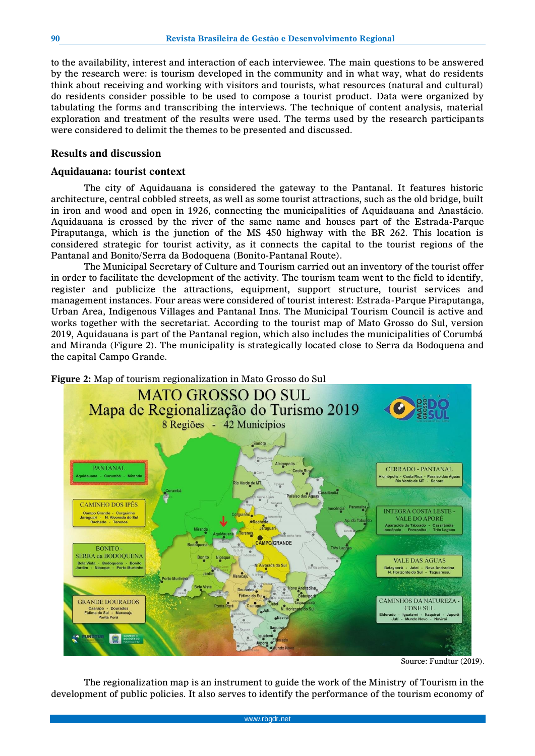to the availability, interest and interaction of each interviewee. The main questions to be answered by the research were: is tourism developed in the community and in what way, what do residents think about receiving and working with visitors and tourists, what resources (natural and cultural) do residents consider possible to be used to compose a tourist product. Data were organized by tabulating the forms and transcribing the interviews. The technique of content analysis, material exploration and treatment of the results were used. The terms used by the research participants were considered to delimit the themes to be presented and discussed.

#### **Results and discussion**

#### **Aquidauana: tourist context**

The city of Aquidauana is considered the gateway to the Pantanal. It features historic architecture, central cobbled streets, as well as some tourist attractions, such as the old bridge, built in iron and wood and open in 1926, connecting the municipalities of Aquidauana and Anastácio. Aquidauana is crossed by the river of the same name and houses part of the Estrada-Parque Piraputanga, which is the junction of the MS 450 highway with the BR 262. This location is considered strategic for tourist activity, as it connects the capital to the tourist regions of the Pantanal and Bonito/Serra da Bodoquena (Bonito-Pantanal Route).

The Municipal Secretary of Culture and Tourism carried out an inventory of the tourist offer in order to facilitate the development of the activity. The tourism team went to the field to identify, register and publicize the attractions, equipment, support structure, tourist services and management instances. Four areas were considered of tourist interest: Estrada-Parque Piraputanga, Urban Area, Indigenous Villages and Pantanal Inns. The Municipal Tourism Council is active and works together with the secretariat. According to the tourist map of Mato Grosso do Sul, version 2019, Aquidauana is part of the Pantanal region, which also includes the municipalities of Corumbá and Miranda (Figure 2). The municipality is strategically located close to Serra da Bodoquena and the capital Campo Grande.



Source: Fundtur (2019).

The regionalization map is an instrument to guide the work of the Ministry of Tourism in the development of public policies. It also serves to identify the performance of the tourism economy of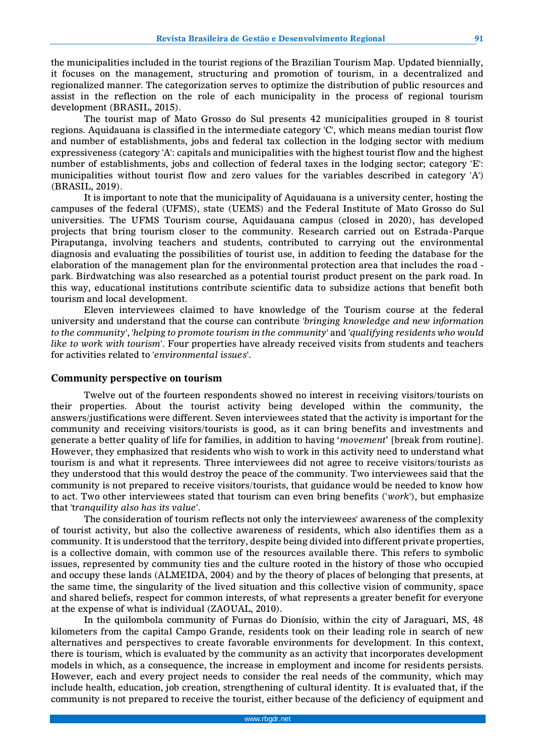the municipalities included in the tourist regions of the Brazilian Tourism Map. Updated biennially, it focuses on the management, structuring and promotion of tourism, in a decentralized and regionalized manner. The categorization serves to optimize the distribution of public resources and assist in the reflection on the role of each municipality in the process of regional tourism development (BRASIL, 2015).

The tourist map of Mato Grosso do Sul presents 42 municipalities grouped in 8 tourist regions. Aquidauana is classified in the intermediate category 'C', which means median tourist flow and number of establishments, jobs and federal tax collection in the lodging sector with medium expressiveness (category 'A': capitals and municipalities with the highest tourist flow and the highest number of establishments, jobs and collection of federal taxes in the lodging sector; category 'E': municipalities without tourist flow and zero values for the variables described in category 'A') (BRASIL, 2019).

It is important to note that the municipality of Aquidauana is a university center, hosting the campuses of the federal (UFMS), state (UEMS) and the Federal Institute of Mato Grosso do Sul universities. The UFMS Tourism course, Aquidauana campus (closed in 2020), has developed projects that bring tourism closer to the community. Research carried out on Estrada-Parque Piraputanga, involving teachers and students, contributed to carrying out the environmental diagnosis and evaluating the possibilities of tourist use, in addition to feeding the database for the elaboration of the management plan for the environmental protection area that includes the road park. Birdwatching was also researched as a potential tourist product present on the park road. In this way, educational institutions contribute scientific data to subsidize actions that benefit both tourism and local development.

Eleven interviewees claimed to have knowledge of the Tourism course at the federal university and understand that the course can contribute *'bringing knowledge and new information to the community*', *'helping to promote tourism in the community*' and *'qualifying residents who would like to work with tourism*'. Four properties have already received visits from students and teachers for activities related to '*environmental issues*'.

#### **Community perspective on tourism**

Twelve out of the fourteen respondents showed no interest in receiving visitors/tourists on their properties. About the tourist activity being developed within the community, the answers/justifications were different. Seven interviewees stated that the activity is important for the community and receiving visitors/tourists is good, as it can bring benefits and investments and generate a better quality of life for families, in addition to having '*movement*' [break from routine]. However, they emphasized that residents who wish to work in this activity need to understand what tourism is and what it represents. Three interviewees did not agree to receive visitors/tourists as they understood that this would destroy the peace of the community. Two interviewees said that the community is not prepared to receive visitors/tourists, that guidance would be needed to know how to act. Two other interviewees stated that tourism can even bring benefits ('*work*'), but emphasize that 't*ranquility also has its value*'.

The consideration of tourism reflects not only the interviewees' awareness of the complexity of tourist activity, but also the collective awareness of residents, which also identifies them as a community. It is understood that the territory, despite being divided into different private properties, is a collective domain, with common use of the resources available there. This refers to symbolic issues, represented by community ties and the culture rooted in the history of those who occupied and occupy these lands (ALMEIDA, 2004) and by the theory of places of belonging that presents, at the same time, the singularity of the lived situation and this collective vision of community, space and shared beliefs, respect for common interests, of what represents a greater benefit for everyone at the expense of what is individual (ZAOUAL, 2010).

In the quilombola community of Furnas do Dionísio, within the city of Jaraguari, MS, 48 kilometers from the capital Campo Grande, residents took on their leading role in search of new alternatives and perspectives to create favorable environments for development. In this context, there is tourism, which is evaluated by the community as an activity that incorporates development models in which, as a consequence, the increase in employment and income for residents persists. However, each and every project needs to consider the real needs of the community, which may include health, education, job creation, strengthening of cultural identity. It is evaluated that, if the community is not prepared to receive the tourist, either because of the deficiency of equipment and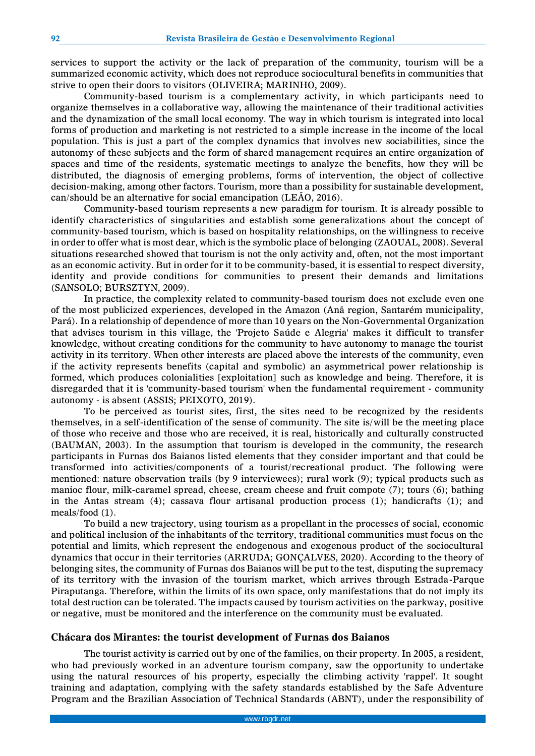services to support the activity or the lack of preparation of the community, tourism will be a summarized economic activity, which does not reproduce sociocultural benefits in communities that strive to open their doors to visitors (OLIVEIRA; MARINHO, 2009).

Community-based tourism is a complementary activity, in which participants need to organize themselves in a collaborative way, allowing the maintenance of their traditional activities and the dynamization of the small local economy. The way in which tourism is integrated into local forms of production and marketing is not restricted to a simple increase in the income of the local population. This is just a part of the complex dynamics that involves new sociabilities, since the autonomy of these subjects and the form of shared management requires an entire organization of spaces and time of the residents, systematic meetings to analyze the benefits, how they will be distributed, the diagnosis of emerging problems, forms of intervention, the object of collective decision-making, among other factors. Tourism, more than a possibility for sustainable development, can/should be an alternative for social emancipation (LEÃO, 2016).

Community-based tourism represents a new paradigm for tourism. It is already possible to identify characteristics of singularities and establish some generalizations about the concept of community-based tourism, which is based on hospitality relationships, on the willingness to receive in order to offer what is most dear, which is the symbolic place of belonging (ZAOUAL, 2008). Several situations researched showed that tourism is not the only activity and, often, not the most important as an economic activity. But in order for it to be community-based, it is essential to respect diversity, identity and provide conditions for communities to present their demands and limitations (SANSOLO; BURSZTYN, 2009).

In practice, the complexity related to community-based tourism does not exclude even one of the most publicized experiences, developed in the Amazon (Anã region, Santarém municipality, Pará). In a relationship of dependence of more than 10 years on the Non-Governmental Organization that advises tourism in this village, the 'Projeto Saúde e Alegria' makes it difficult to transfer knowledge, without creating conditions for the community to have autonomy to manage the tourist activity in its territory. When other interests are placed above the interests of the community, even if the activity represents benefits (capital and symbolic) an asymmetrical power relationship is formed, which produces colonialities [exploitation] such as knowledge and being. Therefore, it is disregarded that it is 'community-based tourism' when the fundamental requirement - community autonomy - is absent (ASSIS; PEIXOTO, 2019).

To be perceived as tourist sites, first, the sites need to be recognized by the residents themselves, in a self-identification of the sense of community. The site is/will be the meeting place of those who receive and those who are received, it is real, historically and culturally constructed (BAUMAN, 2003). In the assumption that tourism is developed in the community, the research participants in Furnas dos Baianos listed elements that they consider important and that could be transformed into activities/components of a tourist/recreational product. The following were mentioned: nature observation trails (by 9 interviewees); rural work (9); typical products such as manioc flour, milk-caramel spread, cheese, cream cheese and fruit compote (7); tours (6); bathing in the Antas stream (4); cassava flour artisanal production process (1); handicrafts (1); and meals/food (1).

To build a new trajectory, using tourism as a propellant in the processes of social, economic and political inclusion of the inhabitants of the territory, traditional communities must focus on the potential and limits, which represent the endogenous and exogenous product of the sociocultural dynamics that occur in their territories (ARRUDA; GONÇALVES, 2020). According to the theory of belonging sites, the community of Furnas dos Baianos will be put to the test, disputing the supremacy of its territory with the invasion of the tourism market, which arrives through Estrada-Parque Piraputanga. Therefore, within the limits of its own space, only manifestations that do not imply its total destruction can be tolerated. The impacts caused by tourism activities on the parkway, positive or negative, must be monitored and the interference on the community must be evaluated.

#### **Chácara dos Mirantes: the tourist development of Furnas dos Baianos**

The tourist activity is carried out by one of the families, on their property. In 2005, a resident, who had previously worked in an adventure tourism company, saw the opportunity to undertake using the natural resources of his property, especially the climbing activity 'rappel'. It sought training and adaptation, complying with the safety standards established by the Safe Adventure Program and the Brazilian Association of Technical Standards (ABNT), under the responsibility of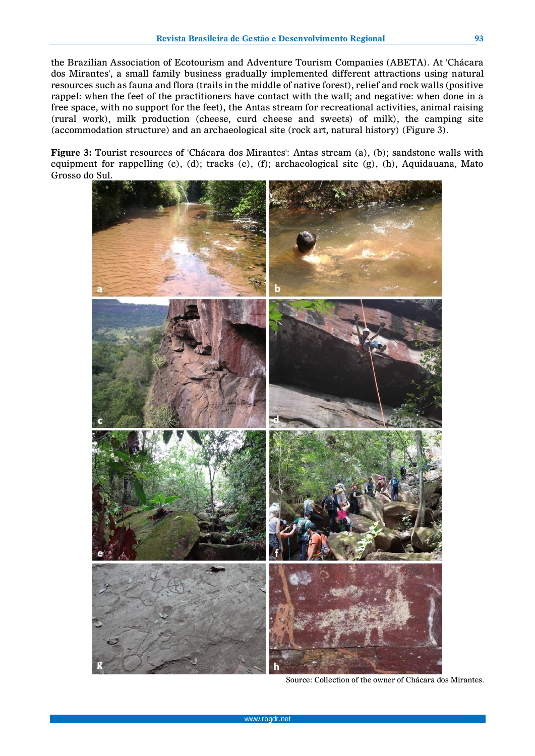the Brazilian Association of Ecotourism and Adventure Tourism Companies (ABETA). At 'Chácara dos Mirantes', a small family business gradually implemented different attractions using natural resources such as fauna and flora (trails in the middle of native forest), relief and rock walls (positive rappel: when the feet of the practitioners have contact with the wall; and negative: when done in a free space, with no support for the feet), the Antas stream for recreational activities, animal raising (rural work), milk production (cheese, curd cheese and sweets) of milk), the camping site (accommodation structure) and an archaeological site (rock art, natural history) (Figure 3).

**Figure 3:** Tourist resources of 'Chácara dos Mirantes': Antas stream (a), (b); sandstone walls with equipment for rappelling (c), (d); tracks (e), (f); archaeological site (g), (h), Aquidauana, Mato Grosso do Sul.



Source: Collection of the owner of Chácara dos Mirantes.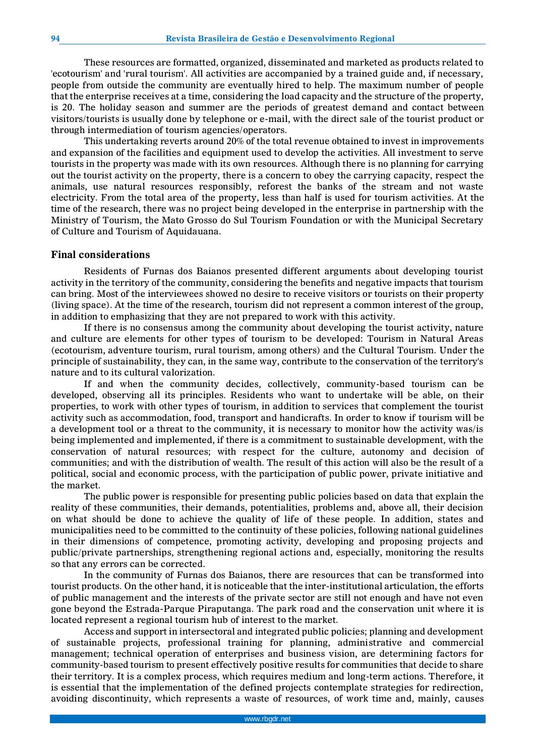These resources are formatted, organized, disseminated and marketed as products related to 'ecotourism' and 'rural tourism'. All activities are accompanied by a trained guide and, if necessary, people from outside the community are eventually hired to help. The maximum number of people that the enterprise receives at a time, considering the load capacity and the structure of the property, is 20. The holiday season and summer are the periods of greatest demand and contact between visitors/tourists is usually done by telephone or e-mail, with the direct sale of the tourist product or through intermediation of tourism agencies/operators.

This undertaking reverts around 20% of the total revenue obtained to invest in improvements and expansion of the facilities and equipment used to develop the activities. All investment to serve tourists in the property was made with its own resources. Although there is no planning for carrying out the tourist activity on the property, there is a concern to obey the carrying capacity, respect the animals, use natural resources responsibly, reforest the banks of the stream and not waste electricity. From the total area of the property, less than half is used for tourism activities. At the time of the research, there was no project being developed in the enterprise in partnership with the Ministry of Tourism, the Mato Grosso do Sul Tourism Foundation or with the Municipal Secretary of Culture and Tourism of Aquidauana.

#### **Final considerations**

Residents of Furnas dos Baianos presented different arguments about developing tourist activity in the territory of the community, considering the benefits and negative impacts that tourism can bring. Most of the interviewees showed no desire to receive visitors or tourists on their property (living space). At the time of the research, tourism did not represent a common interest of the group, in addition to emphasizing that they are not prepared to work with this activity.

If there is no consensus among the community about developing the tourist activity, nature and culture are elements for other types of tourism to be developed: Tourism in Natural Areas (ecotourism, adventure tourism, rural tourism, among others) and the Cultural Tourism. Under the principle of sustainability, they can, in the same way, contribute to the conservation of the territory's nature and to its cultural valorization.

If and when the community decides, collectively, community-based tourism can be developed, observing all its principles. Residents who want to undertake will be able, on their properties, to work with other types of tourism, in addition to services that complement the tourist activity such as accommodation, food, transport and handicrafts. In order to know if tourism will be a development tool or a threat to the community, it is necessary to monitor how the activity was/is being implemented and implemented, if there is a commitment to sustainable development, with the conservation of natural resources; with respect for the culture, autonomy and decision of communities; and with the distribution of wealth. The result of this action will also be the result of a political, social and economic process, with the participation of public power, private initiative and the market.

The public power is responsible for presenting public policies based on data that explain the reality of these communities, their demands, potentialities, problems and, above all, their decision on what should be done to achieve the quality of life of these people. In addition, states and municipalities need to be committed to the continuity of these policies, following national guidelines in their dimensions of competence, promoting activity, developing and proposing projects and public/private partnerships, strengthening regional actions and, especially, monitoring the results so that any errors can be corrected.

In the community of Furnas dos Baianos, there are resources that can be transformed into tourist products. On the other hand, it is noticeable that the inter-institutional articulation, the efforts of public management and the interests of the private sector are still not enough and have not even gone beyond the Estrada-Parque Piraputanga. The park road and the conservation unit where it is located represent a regional tourism hub of interest to the market.

Access and support in intersectoral and integrated public policies; planning and development of sustainable projects, professional training for planning, administrative and commercial management; technical operation of enterprises and business vision, are determining factors for community-based tourism to present effectively positive results for communities that decide to share their territory. It is a complex process, which requires medium and long-term actions. Therefore, it is essential that the implementation of the defined projects contemplate strategies for redirection, avoiding discontinuity, which represents a waste of resources, of work time and, mainly, causes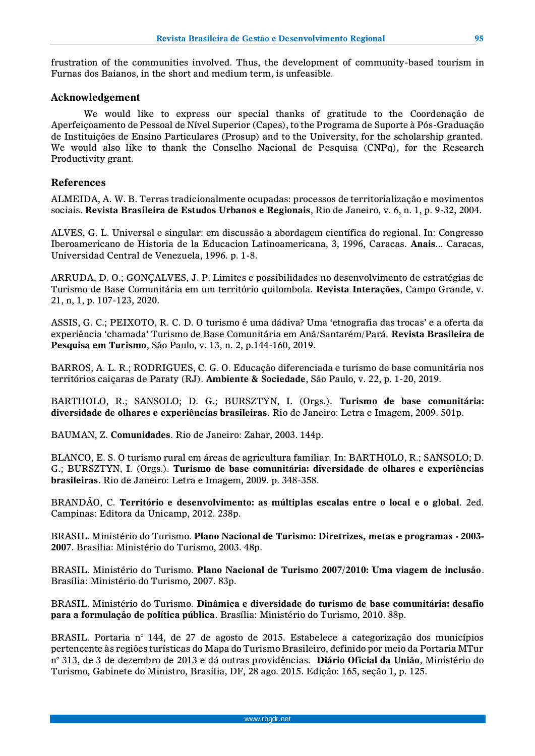frustration of the communities involved. Thus, the development of community-based tourism in Furnas dos Baianos, in the short and medium term, is unfeasible.

### **Acknowledgement**

We would like to express our special thanks of gratitude to the Coordenação de Aperfeiçoamento de Pessoal de Nível Superior (Capes), to the Programa de Suporte à Pós-Graduação de Instituições de Ensino Particulares (Prosup) and to the University, for the scholarship granted. We would also like to thank the Conselho Nacional de Pesquisa (CNPq), for the Research Productivity grant.

### **References**

ALMEIDA, A. W. B. Terras tradicionalmente ocupadas: processos de territorialização e movimentos sociais. **Revista Brasileira de Estudos Urbanos e Regionais**, Rio de Janeiro, v. 6, n. 1, p. 9-32, 2004.

ALVES, G. L. Universal e singular: em discussão a abordagem científica do regional. In: Congresso Iberoamericano de Historia de la Educacion Latinoamericana, 3, 1996, Caracas. **Anais**... Caracas, Universidad Central de Venezuela, 1996. p. 1-8.

ARRUDA, D. O.; GONÇALVES, J. P. Limites e possibilidades no desenvolvimento de estratégias de Turismo de Base Comunitária em um território quilombola. **Revista Interações**, Campo Grande, v. 21, n, 1, p. 107-123, 2020.

ASSIS, G. C.; PEIXOTO, R. C. D. O turismo é uma dádiva? Uma 'etnografia das trocas' e a oferta da experiência 'chamada' Turismo de Base Comunitária em Anã/Santarém/Pará. **Revista Brasileira de Pesquisa em Turismo**, São Paulo, v. 13, n. 2, p.144-160, 2019.

BARROS, A. L. R.; RODRIGUES, C. G. O. Educação diferenciada e turismo de base comunitária nos territórios caiçaras de Paraty (RJ). **Ambiente & Sociedade**, São Paulo, v. 22, p. 1-20, 2019.

BARTHOLO, R.; SANSOLO; D. G.; BURSZTYN, I. (Orgs.). **Turismo de base comunitária: diversidade de olhares e experiências brasileiras**. Rio de Janeiro: Letra e Imagem, 2009. 501p.

BAUMAN, Z. **Comunidades**. Rio de Janeiro: Zahar, 2003. 144p.

BLANCO, E. S. O turismo rural em áreas de agricultura familiar. In: BARTHOLO, R.; SANSOLO; D. G.; BURSZTYN, I. (Orgs.). **Turismo de base comunitária: diversidade de olhares e experiências brasileiras**. Rio de Janeiro: Letra e Imagem, 2009. p. 348-358.

BRANDÃO, C. **Território e desenvolvimento: as múltiplas escalas entre o local e o global**. 2ed. Campinas: Editora da Unicamp, 2012. 238p.

BRASIL. Ministério do Turismo. **Plano Nacional de Turismo: Diretrizes, metas e programas - 2003- 2007**. Brasília: Ministério do Turismo, 2003. 48p.

BRASIL. Ministério do Turismo. **Plano Nacional de Turismo 2007/2010: Uma viagem de inclusão**. Brasília: Ministério do Turismo, 2007. 83p.

BRASIL. Ministério do Turismo. **Dinâmica e diversidade do turismo de base comunitária: desafio para a formulação de política pública**. Brasília: Ministério do Turismo, 2010. 88p.

BRASIL. Portaria n° 144, de 27 de agosto de 2015. Estabelece a categorização dos municípios pertencente às regiões turísticas do Mapa do Turismo Brasileiro, definido por meio da Portaria MTur n° 313, de 3 de dezembro de 2013 e dá outras providências. **Diário Oficial da União**, Ministério do Turismo, Gabinete do Ministro, Brasília, DF, 28 ago. 2015. Edição: 165, seção 1, p. 125.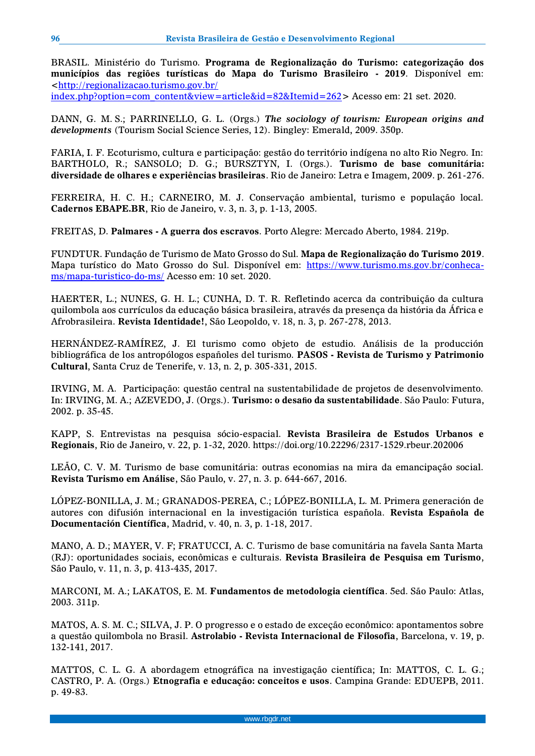BRASIL. Ministério do Turismo. **Programa de Regionalização do Turismo: categorização dos municípios das regiões turísticas do Mapa do Turismo Brasileiro - 2019**. Disponível em: [<http://regionalizacao.turismo.gov.br/](http://regionalizacao.turismo.gov.br/%20index.php?option=com_content&view=article&id=82&Itemid=262) 

[index.php?option=com\\_content&view=article&id=82&Itemid=262>](http://regionalizacao.turismo.gov.br/%20index.php?option=com_content&view=article&id=82&Itemid=262) Acesso em: 21 set. 2020.

DANN, G. M. S.; PARRINELLO, G. L. (Orgs.) *The sociology of tourism: European origins and developments* (Tourism Social Science Series, 12). Bingley: Emerald, 2009. 350p.

FARIA, I. F. Ecoturismo, cultura e participação: gestão do território indígena no alto Rio Negro. In: BARTHOLO, R.; SANSOLO; D. G.; BURSZTYN, I. (Orgs.). **Turismo de base comunitária: diversidade de olhares e experiências brasileiras**. Rio de Janeiro: Letra e Imagem, 2009. p. 261-276.

FERREIRA, H. C. H.; CARNEIRO, M. J. Conservação ambiental, turismo e população local. **Cadernos EBAPE.BR**, Rio de Janeiro, v. 3, n. 3, p. 1-13, 2005.

FREITAS, D. **Palmares - A guerra dos escravos**. Porto Alegre: Mercado Aberto, 1984. 219p.

FUNDTUR. Fundação de Turismo de Mato Grosso do Sul. **Mapa de Regionalização do Turismo 2019**. Mapa turístico do Mato Grosso do Sul. Disponível em: [https://www.turismo.ms.gov.br/conheca](https://www.turismo.ms.gov.br/conheca-ms/mapa-turistico-do-ms/)[ms/mapa-turistico-do-ms/](https://www.turismo.ms.gov.br/conheca-ms/mapa-turistico-do-ms/) Acesso em: 10 set. 2020.

HAERTER, L.; NUNES, G. H. L.; CUNHA, D. T. R. Refletindo acerca da contribuição da cultura quilombola aos currículos da educação básica brasileira, através da presença da história da África e Afrobrasileira. **Revista Identidade!**, São Leopoldo, v. 18, n. 3, p. 267-278, 2013.

HERNÁNDEZ-RAMÍREZ, J. El turismo como objeto de estudio. Análisis de la producción bibliográfica de los antropólogos españoles del turismo. **PASOS - Revista de Turismo y Patrimonio Cultural**, Santa Cruz de Tenerife, v. 13, n. 2, p. 305-331, 2015.

IRVING, M. A. Participação: questão central na sustentabilidade de projetos de desenvolvimento. In: IRVING, M. A.; AZEVEDO, J. (Orgs.). **Turismo: o desafio da sustentabilidade**. São Paulo: Futura, 2002. p. 35-45.

KAPP, S. Entrevistas na pesquisa sócio-espacial. **Revista Brasileira de Estudos Urbanos e Regionais**, Rio de Janeiro, v. 22, p. 1-32, 2020. https://doi.org/10.22296/2317-1529.rbeur.202006

LEÃO, C. V. M. Turismo de base comunitária: outras economias na mira da emancipação social. **Revista Turismo em Análise**, São Paulo, v. 27, n. 3. p. 644-667, 2016.

LÓPEZ-BONILLA, J. M.; GRANADOS-PEREA, C.; LÓPEZ-BONILLA, L. M. Primera generación de autores con difusión internacional en la investigación turística española. **Revista Española de Documentación Científica**, Madrid, v. 40, n. 3, p. 1-18, 2017.

MANO, A. D.; MAYER, V. F; FRATUCCI, A. C. Turismo de base comunitária na favela Santa Marta (RJ): oportunidades sociais, econômicas e culturais. **Revista Brasileira de Pesquisa em Turismo**, São Paulo, v. 11, n. 3, p. 413-435, 2017.

MARCONI, M. A.; LAKATOS, E. M. **Fundamentos de metodologia científica**. 5ed. São Paulo: Atlas, 2003. 311p.

MATOS, A. S. M. C.; SILVA, J. P. O progresso e o estado de exceção econômico: apontamentos sobre a questão quilombola no Brasil. **Astrolabio - Revista Internacional de Filosofia**, Barcelona, v. 19, p. 132-141, 2017.

MATTOS, C. L. G. A abordagem etnográfica na investigação científica; In: MATTOS, C. L. G.; CASTRO, P. A. (Orgs.) **Etnografia e educação: conceitos e usos**. Campina Grande: EDUEPB, 2011. p. 49-83.